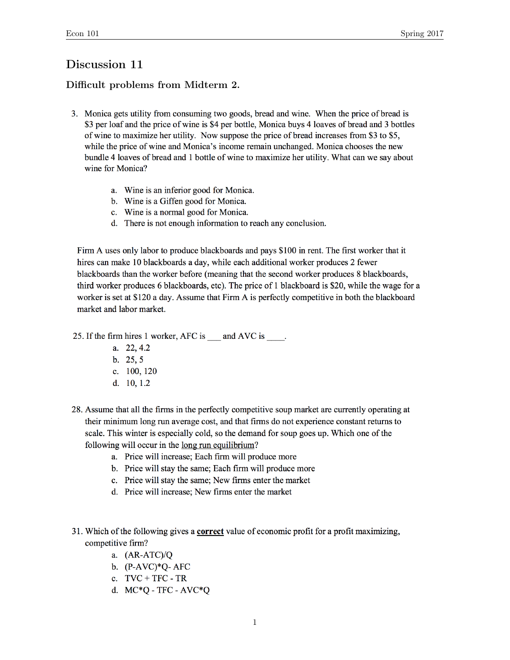# Discussion 11

# Difficult problems from Midterm 2.

- 3. Monica gets utility from consuming two goods, bread and wine. When the price of bread is \$3 per loaf and the price of wine is \$4 per bottle, Monica buys 4 loaves of bread and 3 bottles of wine to maximize her utility. Now suppose the price of bread increases from \$3 to \$5, while the price of wine and Monica's income remain unchanged. Monica chooses the new bundle 4 loaves of bread and 1 bottle of wine to maximize her utility. What can we say about wine for Monica?
	- a. Wine is an inferior good for Monica.
	- b. Wine is a Giffen good for Monica.
	- c. Wine is a normal good for Monica.
	- d. There is not enough information to reach any conclusion.

Firm A uses only labor to produce blackboards and pays \$100 in rent. The first worker that it hires can make 10 blackboards a day, while each additional worker produces 2 fewer blackboards than the worker before (meaning that the second worker produces 8 blackboards, third worker produces 6 blackboards, etc). The price of 1 blackboard is \$20, while the wage for a worker is set at \$120 a day. Assume that Firm A is perfectly competitive in both the blackboard market and labor market.

25. If the firm hires 1 worker, AFC is and AVC is .

- a. 22, 4.2
- $b. 25.5$
- c. 100, 120
- d. 10, 1.2
- 28. Assume that all the firms in the perfectly competitive soup market are currently operating at their minimum long run average cost, and that firms do not experience constant returns to scale. This winter is especially cold, so the demand for soup goes up. Which one of the following will occur in the long run equilibrium?
	- a. Price will increase; Each firm will produce more
	- b. Price will stay the same; Each firm will produce more
	- c. Price will stay the same; New firms enter the market
	- d. Price will increase; New firms enter the market
- 31. Which of the following gives a **correct** value of economic profit for a profit maximizing, competitive firm?
	- a.  $(AR-ATC)/Q$
	- b.  $(P-AVC)*Q-AFC$
	- c.  $TVC + TFC TR$
	- d.  $MC*Q$  TFC  $AVC*Q$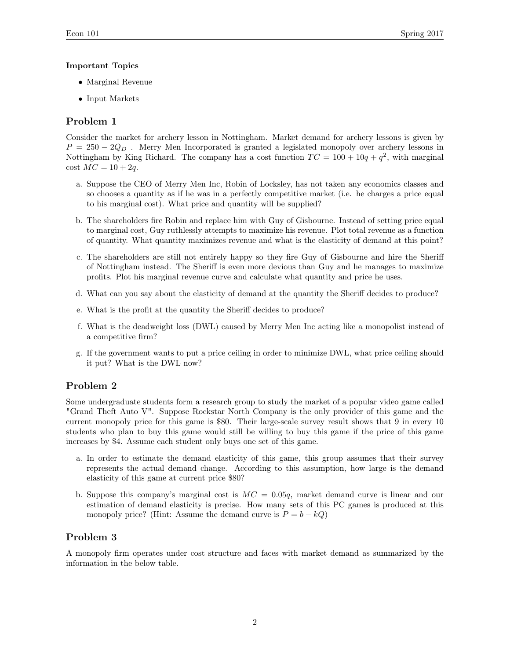#### Important Topics

- Marginal Revenue
- Input Markets

## Problem 1

Consider the market for archery lesson in Nottingham. Market demand for archery lessons is given by  $P = 250 - 2Q<sub>D</sub>$ . Merry Men Incorporated is granted a legislated monopoly over archery lessons in Nottingham by King Richard. The company has a cost function  $TC = 100 + 10q + q^2$ , with marginal  $\cot MC = 10 + 2q$ .

- a. Suppose the CEO of Merry Men Inc, Robin of Locksley, has not taken any economics classes and so chooses a quantity as if he was in a perfectly competitive market (i.e. he charges a price equal to his marginal cost). What price and quantity will be supplied?
- b. The shareholders fire Robin and replace him with Guy of Gisbourne. Instead of setting price equal to marginal cost, Guy ruthlessly attempts to maximize his revenue. Plot total revenue as a function of quantity. What quantity maximizes revenue and what is the elasticity of demand at this point?
- c. The shareholders are still not entirely happy so they fire Guy of Gisbourne and hire the Sheriff of Nottingham instead. The Sheriff is even more devious than Guy and he manages to maximize profits. Plot his marginal revenue curve and calculate what quantity and price he uses.
- d. What can you say about the elasticity of demand at the quantity the Sheriff decides to produce?
- e. What is the profit at the quantity the Sheriff decides to produce?
- f. What is the deadweight loss (DWL) caused by Merry Men Inc acting like a monopolist instead of a competitive firm?
- g. If the government wants to put a price ceiling in order to minimize DWL, what price ceiling should it put? What is the DWL now?

### Problem 2

Some undergraduate students form a research group to study the market of a popular video game called "Grand Theft Auto V". Suppose Rockstar North Company is the only provider of this game and the current monopoly price for this game is \$80. Their large-scale survey result shows that 9 in every 10 students who plan to buy this game would still be willing to buy this game if the price of this game increases by \$4. Assume each student only buys one set of this game.

- a. In order to estimate the demand elasticity of this game, this group assumes that their survey represents the actual demand change. According to this assumption, how large is the demand elasticity of this game at current price \$80?
- b. Suppose this company's marginal cost is  $MC = 0.05q$ , market demand curve is linear and our estimation of demand elasticity is precise. How many sets of this PC games is produced at this monopoly price? (Hint: Assume the demand curve is  $P = b - kQ$ )

### Problem 3

A monopoly firm operates under cost structure and faces with market demand as summarized by the information in the below table.